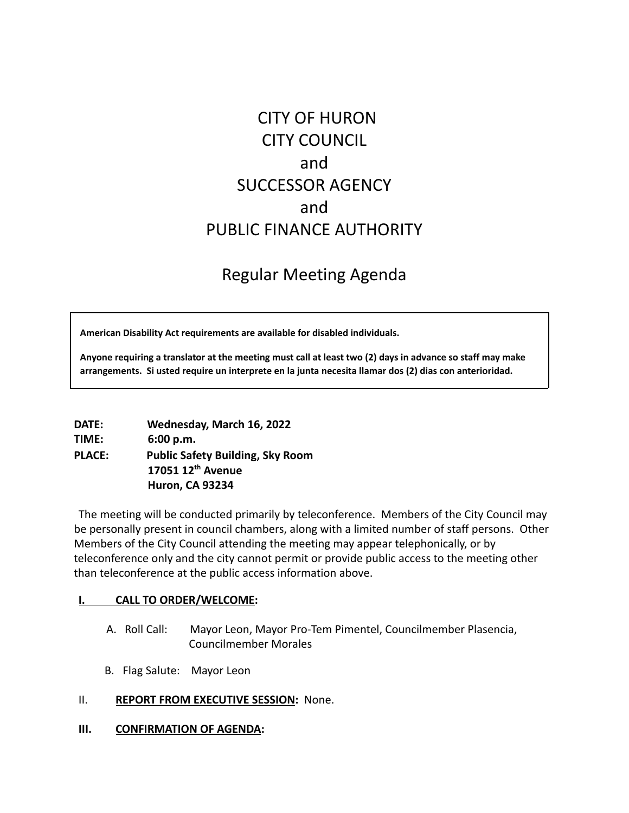# CITY OF HURON CITY COUNCIL and SUCCESSOR AGENCY and PUBLIC FINANCE AUTHORITY

## Regular Meeting Agenda

**American Disability Act requirements are available for disabled individuals.**

Anyone requiring a translator at the meeting must call at least two (2) days in advance so staff may make **arrangements. Si usted require un interprete en la junta necesita llamar dos (2) dias con anterioridad.**

| DATE:         | Wednesday, March 16, 2022               |
|---------------|-----------------------------------------|
| TIME:         | 6:00 p.m.                               |
| <b>PLACE:</b> | <b>Public Safety Building, Sky Room</b> |
|               | 17051 12 <sup>th</sup> Avenue           |
|               | <b>Huron, CA 93234</b>                  |

The meeting will be conducted primarily by teleconference. Members of the City Council may be personally present in council chambers, along with a limited number of staff persons. Other Members of the City Council attending the meeting may appear telephonically, or by teleconference only and the city cannot permit or provide public access to the meeting other than teleconference at the public access information above.

#### **I. CALL TO ORDER/WELCOME:**

- A. Roll Call: Mayor Leon, Mayor Pro-Tem Pimentel, Councilmember Plasencia, Councilmember Morales
- B. Flag Salute: Mayor Leon
- II. **REPORT FROM EXECUTIVE SESSION:** None.
- **III. CONFIRMATION OF AGENDA:**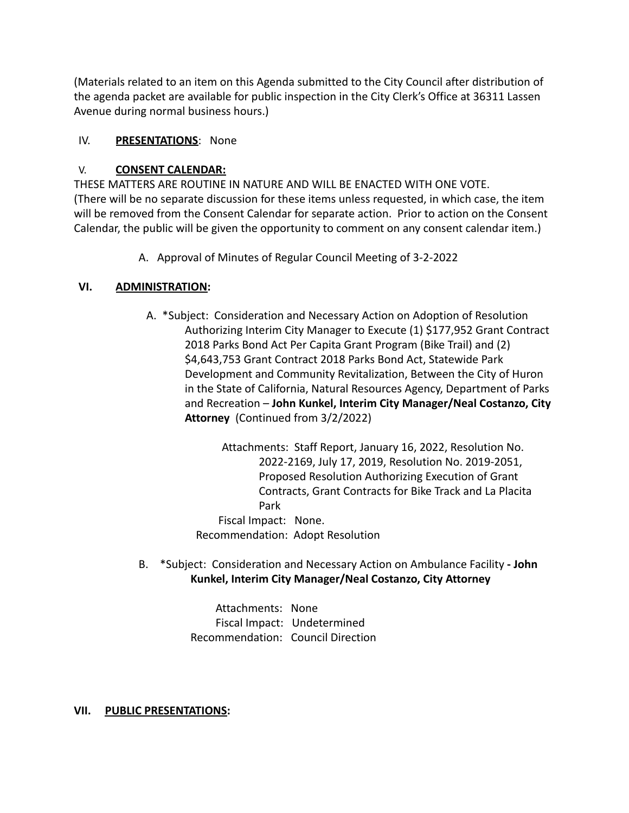(Materials related to an item on this Agenda submitted to the City Council after distribution of the agenda packet are available for public inspection in the City Clerk's Office at 36311 Lassen Avenue during normal business hours.)

### IV. **PRESENTATIONS**: None

### V. **CONSENT CALENDAR:**

THESE MATTERS ARE ROUTINE IN NATURE AND WILL BE ENACTED WITH ONE VOTE. (There will be no separate discussion for these items unless requested, in which case, the item will be removed from the Consent Calendar for separate action. Prior to action on the Consent Calendar, the public will be given the opportunity to comment on any consent calendar item.)

A. Approval of Minutes of Regular Council Meeting of 3-2-2022

#### **VI. ADMINISTRATION:**

A. \*Subject: Consideration and Necessary Action on Adoption of Resolution Authorizing Interim City Manager to Execute (1) \$177,952 Grant Contract 2018 Parks Bond Act Per Capita Grant Program (Bike Trail) and (2) \$4,643,753 Grant Contract 2018 Parks Bond Act, Statewide Park Development and Community Revitalization, Between the City of Huron in the State of California, Natural Resources Agency, Department of Parks and Recreation – **John Kunkel, Interim City Manager/Neal Costanzo, City Attorney** (Continued from 3/2/2022)

> Attachments: Staff Report, January 16, 2022, Resolution No. 2022-2169, July 17, 2019, Resolution No. 2019-2051, Proposed Resolution Authorizing Execution of Grant Contracts, Grant Contracts for Bike Track and La Placita Park

Fiscal Impact: None. Recommendation: Adopt Resolution

B. \*Subject: Consideration and Necessary Action on Ambulance Facility **- John Kunkel, Interim City Manager/Neal Costanzo, City Attorney**

> Attachments: None Fiscal Impact: Undetermined Recommendation: Council Direction

#### **VII. PUBLIC PRESENTATIONS:**